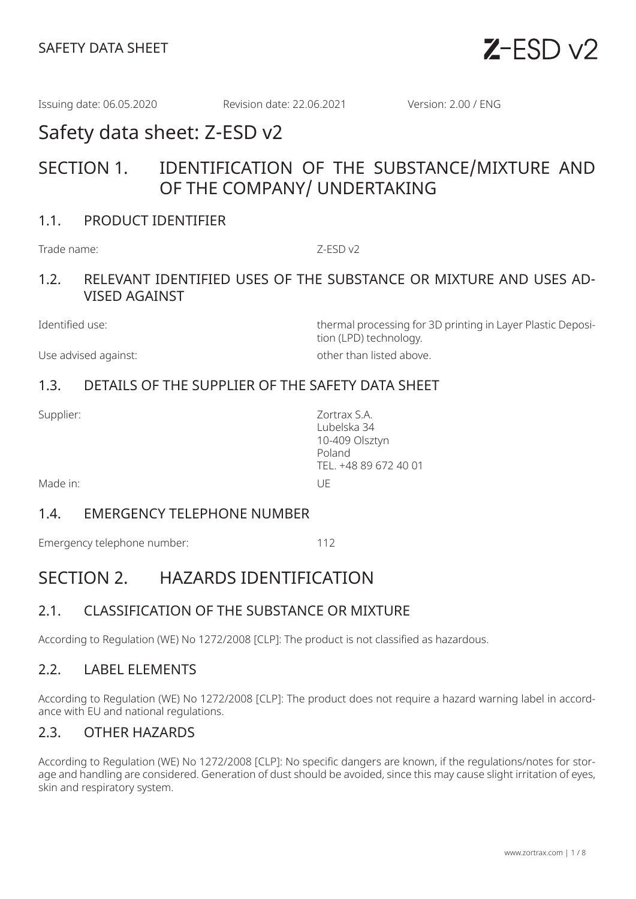

Issuing date: 06.05.2020 Revision date: 22.06.2021 Version: 2.00 / ENG

# Safety data sheet: Z-ESD v2

# SECTION 1. IDENTIFICATION OF THE SUBSTANCE/MIXTURE AND OF THE COMPANY/ UNDERTAKING

### 1.1. PRODUCT IDENTIFIER

Trade name:  $Z-FSD v2$ 

## 1.2. RELEVANT IDENTIFIED USES OF THE SUBSTANCE OR MIXTURE AND USES AD-VISED AGAINST

Use advised against:  $\qquad \qquad$  other than listed above.

Identified use: thermal processing for 3D printing in Layer Plastic Deposition (LPD) technology.

# 1.3. DETAILS OF THE SUPPLIER OF THE SAFETY DATA SHEET

Supplier: Zortrax S.A. Lubelska 34 10-409 Olsztyn Poland TEL. +48 89 672 40 01

Made in: UE

#### 1.4. EMERGENCY TELEPHONE NUMBER

Emergency telephone number: 112

# SECTION 2. HAZARDS IDENTIFICATION

# 2.1. CLASSIFICATION OF THE SUBSTANCE OR MIXTURE

According to Regulation (WE) No 1272/2008 [CLP]: The product is not classified as hazardous.

## 2.2. LABEL ELEMENTS

According to Regulation (WE) No 1272/2008 [CLP]: The product does not require a hazard warning label in accordance with EU and national regulations.

## 2.3. OTHER HAZARDS

According to Regulation (WE) No 1272/2008 [CLP]: No specific dangers are known, if the regulations/notes for storage and handling are considered. Generation of dust should be avoided, since this may cause slight irritation of eyes, skin and respiratory system.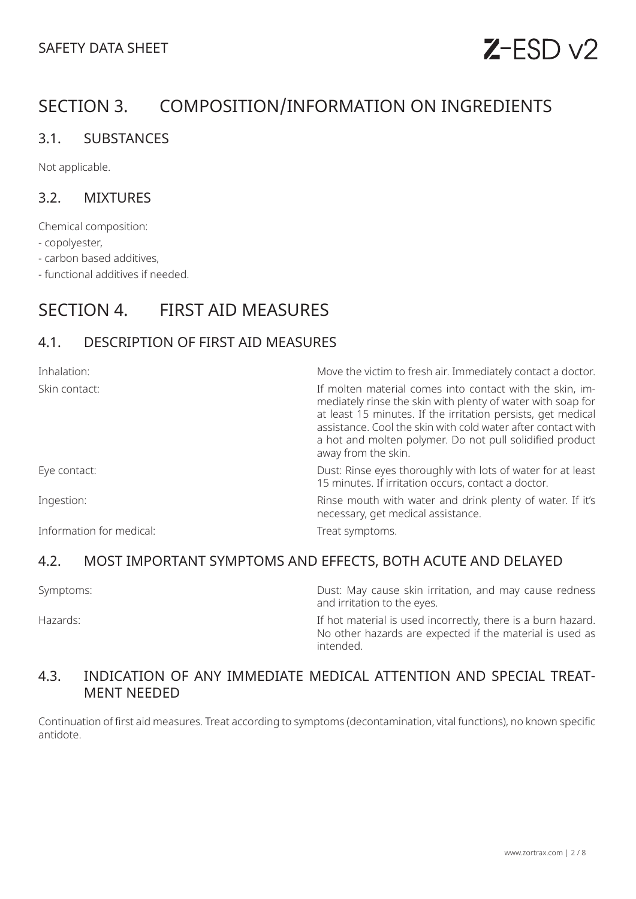# $Z$ -ESD  $v2$

# SECTION 3. COMPOSITION/INFORMATION ON INGREDIENTS

## 3.1. SUBSTANCES

Not applicable.

### 3.2. MIXTURES

Chemical composition:

- copolyester,

- carbon based additives,

- functional additives if needed.

# SECTION 4. FIRST AID MEASURES

# 4.1. DESCRIPTION OF FIRST AID MEASURES

| Inhalation:              | Move the victim to fresh air. Immediately contact a doctor.                                                                                                                                                                                                                                                                                |
|--------------------------|--------------------------------------------------------------------------------------------------------------------------------------------------------------------------------------------------------------------------------------------------------------------------------------------------------------------------------------------|
| Skin contact:            | If molten material comes into contact with the skin, im-<br>mediately rinse the skin with plenty of water with soap for<br>at least 15 minutes. If the irritation persists, get medical<br>assistance. Cool the skin with cold water after contact with<br>a hot and molten polymer. Do not pull solidified product<br>away from the skin. |
| Eye contact:             | Dust: Rinse eyes thoroughly with lots of water for at least<br>15 minutes. If irritation occurs, contact a doctor.                                                                                                                                                                                                                         |
| Ingestion:               | Rinse mouth with water and drink plenty of water. If it's<br>necessary, get medical assistance.                                                                                                                                                                                                                                            |
| Information for medical: | Treat symptoms.                                                                                                                                                                                                                                                                                                                            |

## 4.2. MOST IMPORTANT SYMPTOMS AND EFFECTS, BOTH ACUTE AND DELAYED

Symptoms: Dust: May cause skin irritation, and may cause redness and irritation to the eyes.

Hazards: If hot material is used incorrectly, there is a burn hazard. No other hazards are expected if the material is used as intended.

### 4.3. INDICATION OF ANY IMMEDIATE MEDICAL ATTENTION AND SPECIAL TREAT-MENT NEEDED

Continuation of first aid measures. Treat according to symptoms (decontamination, vital functions), no known specific antidote.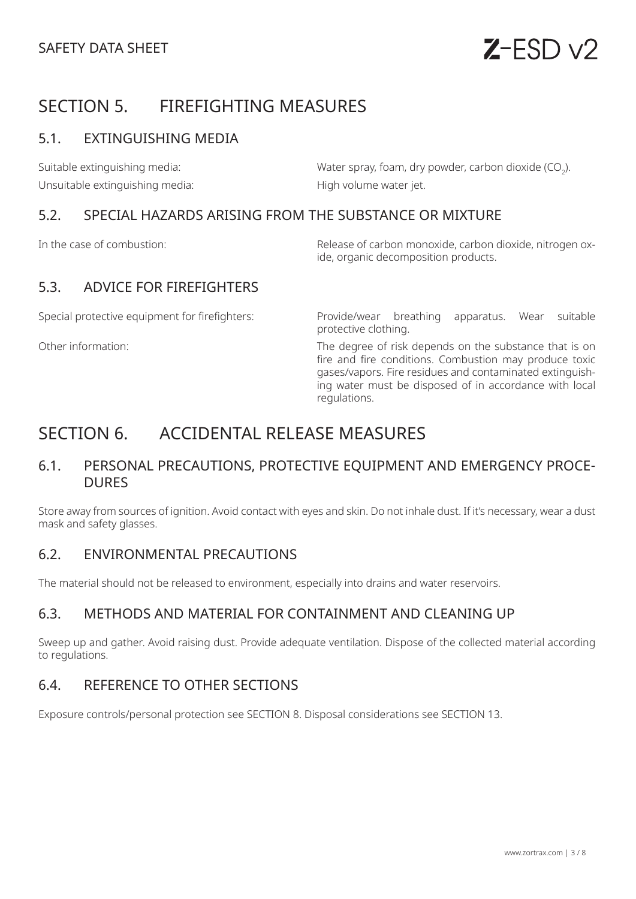# SECTION 5. FIREFIGHTING MEASURES

# 5.1. EXTINGUISHING MEDIA

Suitable extinguishing media:  $\hbox{\rm Water}$  spray, foam, dry powder, carbon dioxide (CO<sub>2</sub>). Unsuitable extinguishing media: High volume water jet.

### 5.2. SPECIAL HAZARDS ARISING FROM THE SUBSTANCE OR MIXTURE

In the case of combustion: Release of carbon monoxide, carbon dioxide, nitrogen oxide, organic decomposition products.

# 5.3. ADVICE FOR FIREFIGHTERS

Special protective equipment for firefighters: Provide/wear breathing apparatus. Wear suitable protective clothing.

Other information: The degree of risk depends on the substance that is on fire and fire conditions. Combustion may produce toxic gases/vapors. Fire residues and contaminated extinguishing water must be disposed of in accordance with local regulations.

# SECTION 6. ACCIDENTAL RELEASE MEASURES

## 6.1. PERSONAL PRECAUTIONS, PROTECTIVE EQUIPMENT AND EMERGENCY PROCE-DURES

Store away from sources of ignition. Avoid contact with eyes and skin. Do not inhale dust. If it's necessary, wear a dust mask and safety glasses.

## 6.2. ENVIRONMENTAL PRECAUTIONS

The material should not be released to environment, especially into drains and water reservoirs.

# 6.3. METHODS AND MATERIAL FOR CONTAINMENT AND CLEANING UP

Sweep up and gather. Avoid raising dust. Provide adequate ventilation. Dispose of the collected material according to regulations.

# 6.4. REFERENCE TO OTHER SECTIONS

Exposure controls/personal protection see SECTION 8. Disposal considerations see SECTION 13.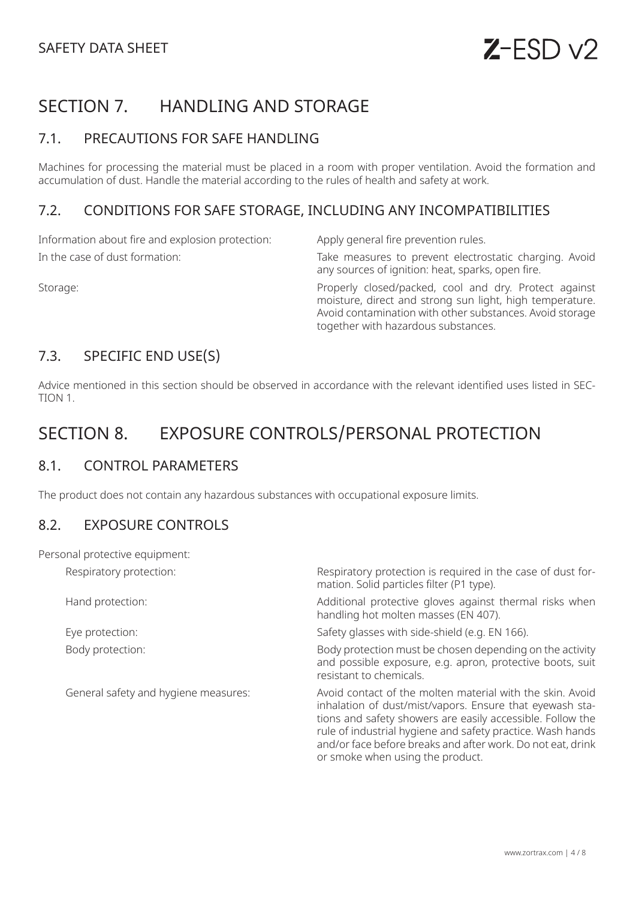# SECTION 7. HANDLING AND STORAGE

# 7.1. PRECAUTIONS FOR SAFE HANDLING

Machines for processing the material must be placed in a room with proper ventilation. Avoid the formation and accumulation of dust. Handle the material according to the rules of health and safety at work.

## 7.2. CONDITIONS FOR SAFE STORAGE, INCLUDING ANY INCOMPATIBILITIES

Information about fire and explosion protection: Apply general fire prevention rules.

In the case of dust formation: Take measures to prevent electrostatic charging. Avoid any sources of ignition: heat, sparks, open fire.

Storage: Storage: Storage: Properly closed/packed, cool and dry. Protect against moisture, direct and strong sun light, high temperature. Avoid contamination with other substances. Avoid storage together with hazardous substances.

# 7.3. SPECIFIC END USE(S)

Advice mentioned in this section should be observed in accordance with the relevant identified uses listed in SEC-TION 1.

# SECTION 8. EXPOSURE CONTROLS/PERSONAL PROTECTION

## 8.1. CONTROL PARAMETERS

The product does not contain any hazardous substances with occupational exposure limits.

#### 8.2. EXPOSURE CONTROLS

| Personal protective equipment:       |                                                                                                                                                                                                                                                                                                                                                      |
|--------------------------------------|------------------------------------------------------------------------------------------------------------------------------------------------------------------------------------------------------------------------------------------------------------------------------------------------------------------------------------------------------|
| Respiratory protection:              | Respiratory protection is required in the case of dust for-<br>mation. Solid particles filter (P1 type).                                                                                                                                                                                                                                             |
| Hand protection:                     | Additional protective gloves against thermal risks when<br>handling hot molten masses (EN 407).                                                                                                                                                                                                                                                      |
| Eye protection:                      | Safety glasses with side-shield (e.g. EN 166).                                                                                                                                                                                                                                                                                                       |
| Body protection:                     | Body protection must be chosen depending on the activity<br>and possible exposure, e.g. apron, protective boots, suit<br>resistant to chemicals.                                                                                                                                                                                                     |
| General safety and hygiene measures: | Avoid contact of the molten material with the skin. Avoid<br>inhalation of dust/mist/vapors. Ensure that eyewash sta-<br>tions and safety showers are easily accessible. Follow the<br>rule of industrial hygiene and safety practice. Wash hands<br>and/or face before breaks and after work. Do not eat, drink<br>or smoke when using the product. |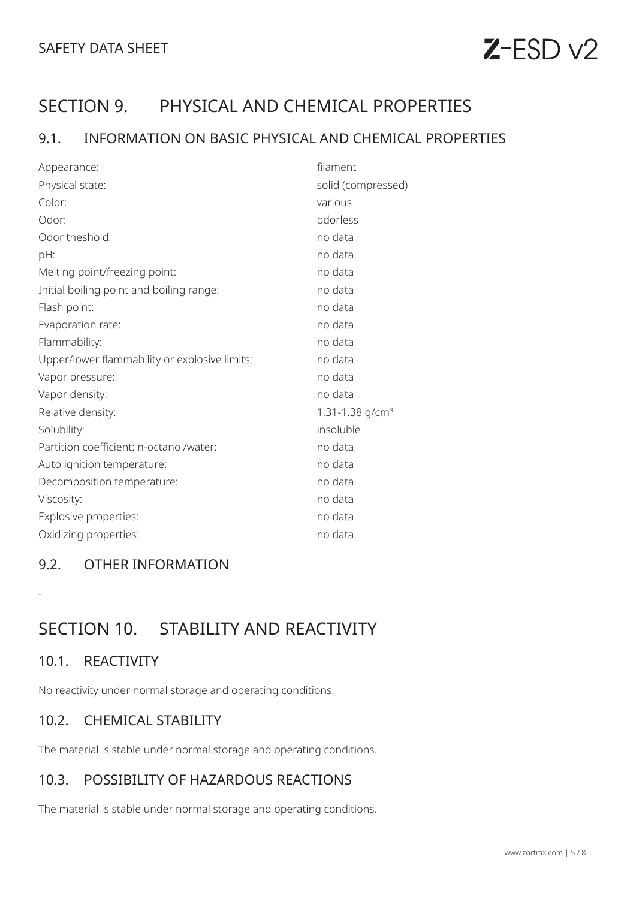# $Z$ -ESD  $v2$

# SECTION 9. PHYSICAL AND CHEMICAL PROPERTIES

# 9.1. INFORMATION ON BASIC PHYSICAL AND CHEMICAL PROPERTIES

| Appearance:                                   | filament           |
|-----------------------------------------------|--------------------|
| Physical state:                               | solid (compressed) |
| Color:                                        | various            |
| Odor:                                         | odorless           |
| Odor theshold:                                | no data            |
| pH:                                           | no data            |
| Melting point/freezing point:                 | no data            |
| Initial boiling point and boiling range:      | no data            |
| Flash point:                                  | no data            |
| Evaporation rate:                             | no data            |
| Flammability:                                 | no data            |
| Upper/lower flammability or explosive limits: | no data            |
| Vapor pressure:                               | no data            |
| Vapor density:                                | no data            |
| Relative density:                             | 1.31-1.38 $q/cm3$  |
| Solubility:                                   | insoluble          |
| Partition coefficient: n-octanol/water:       | no data            |
| Auto ignition temperature:                    | no data            |
| Decomposition temperature:                    | no data            |
| Viscosity:                                    | no data            |
| Explosive properties:                         | no data            |
| Oxidizing properties:                         | no data            |

# 9.2. OTHER INFORMATION

SECTION 10. STABILITY AND REACTIVITY

## 10.1. REACTIVITY

-

No reactivity under normal storage and operating conditions.

## 10.2. CHEMICAL STABILITY

The material is stable under normal storage and operating conditions.

# 10.3. POSSIBILITY OF HAZARDOUS REACTIONS

The material is stable under normal storage and operating conditions.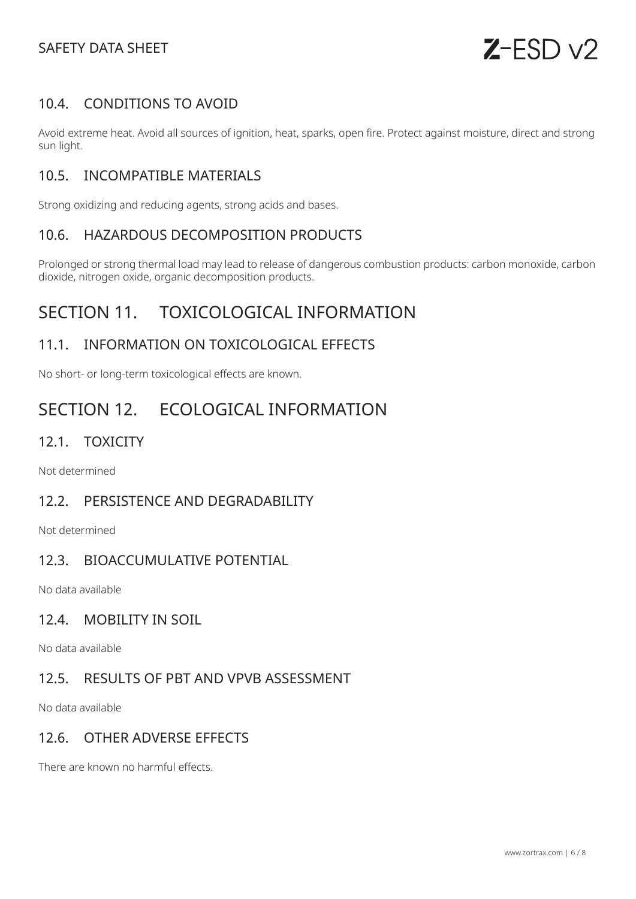# SAFETY DATA SHEET



# 10.4. CONDITIONS TO AVOID

Avoid extreme heat. Avoid all sources of ignition, heat, sparks, open fire. Protect against moisture, direct and strong sun light.

## 10.5. INCOMPATIBLE MATERIALS

Strong oxidizing and reducing agents, strong acids and bases.

#### 10.6. HAZARDOUS DECOMPOSITION PRODUCTS

Prolonged or strong thermal load may lead to release of dangerous combustion products: carbon monoxide, carbon dioxide, nitrogen oxide, organic decomposition products.

# SECTION 11. TOXICOLOGICAL INFORMATION

## 11.1. INFORMATION ON TOXICOLOGICAL EFFECTS

No short- or long-term toxicological effects are known.

# SECTION 12. ECOLOGICAL INFORMATION

#### 12.1. TOXICITY

Not determined

#### 12.2. PERSISTENCE AND DEGRADABILITY

Not determined

### 12.3. BIOACCUMULATIVE POTENTIAL

No data available

#### 12.4. MOBILITY IN SOIL

No data available

# 12.5. RESULTS OF PBT AND VPVB ASSESSMENT

No data available

#### 12.6. OTHER ADVERSE EFFECTS

There are known no harmful effects.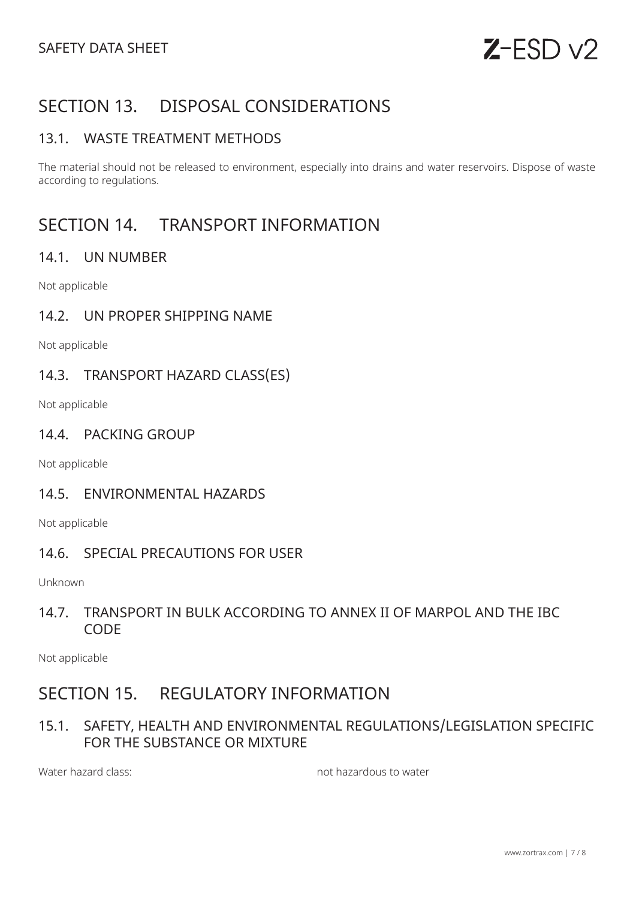# SECTION 13. DISPOSAL CONSIDERATIONS

## 13.1. WASTE TREATMENT METHODS

The material should not be released to environment, especially into drains and water reservoirs. Dispose of waste according to regulations.

# SECTION 14. TRANSPORT INFORMATION

### 14.1. UN NUMBER

Not applicable

#### 14.2. UN PROPER SHIPPING NAME

Not applicable

#### 14.3. TRANSPORT HAZARD CLASS(ES)

Not applicable

#### 14.4. PACKING GROUP

Not applicable

#### 14.5. ENVIRONMENTAL HAZARDS

Not applicable

#### 14.6. SPECIAL PRECAUTIONS FOR USER

Unknown

### 14.7. TRANSPORT IN BULK ACCORDING TO ANNEX II OF MARPOL AND THE IBC **CODE**

Not applicable

# SECTION 15. REGULATORY INFORMATION

# 15.1. SAFETY, HEALTH AND ENVIRONMENTAL REGULATIONS/LEGISLATION SPECIFIC FOR THE SUBSTANCE OR MIXTURE

Water hazard class: not hazardous to water